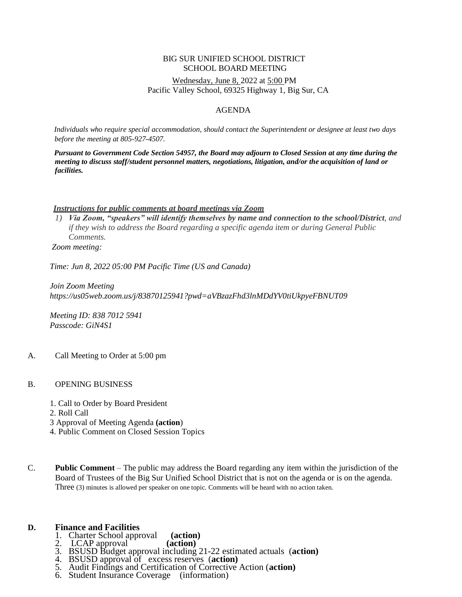#### BIG SUR UNIFIED SCHOOL DISTRICT SCHOOL BOARD MEETING Wednesday, June 8, 2022 at 5:00 PM Pacific Valley School, 69325 Highway 1, Big Sur, CA

#### AGENDA

*Individuals who require special accommodation, should contact the Superintendent or designee at least two days before the meeting at 805-927-4507.*

*Pursuant to Government Code Section 54957, the Board may adjourn to Closed Session at any time during the meeting to discuss staff/student personnel matters, negotiations, litigation, and/or the acquisition of land or facilities.*

#### *Instructions for public comments at board meetings via Zoom*

*1) Via Zoom, "speakers" will identify themselves [by name and connection to the](mailto:debbie.gold@bigsurunified.org) school/District, and if they wish to address the Board regarding a specific agenda item or during General Public Comments.*

*Zoom meeting:*

*Time: Jun 8, 2022 05:00 PM Pacific Time (US and Canada)*

*Join Zoom Meeting https://us05web.zoom.us/j/83870125941?pwd=aVBzazFhd3lnMDdYV0tiUkpyeFBNUT09*

*Meeting ID: 838 7012 5941 Passcode: GiN4S1*

- A. Call Meeting to Order at 5:00 pm
- B. OPENING BUSINESS
	- 1. Call to Order by Board President
	- 2. Roll Call
	- 3 Approval of Meeting Agenda **(action**)
	- 4. Public Comment on Closed Session Topics

C. **Public Comment** – The public may address the Board regarding any item within the jurisdiction of the Board of Trustees of the Big Sur Unified School District that is not on the agenda or is on the agenda. Three (3) minutes is allowed per speaker on one topic. Comments will be heard with no action taken.

#### **D. Finance and Facilities**

- 1. Charter School approval **(action)**
- 2. LCAP approval
- 3. BSUSD Budget approval including 21-22 estimated actuals (**action)**
- 4. BSUSD approval of excess reserves (**action)**
- 5. Audit Findings and Certification of Corrective Action (**action)**
- 6. Student Insurance Coverage (information)